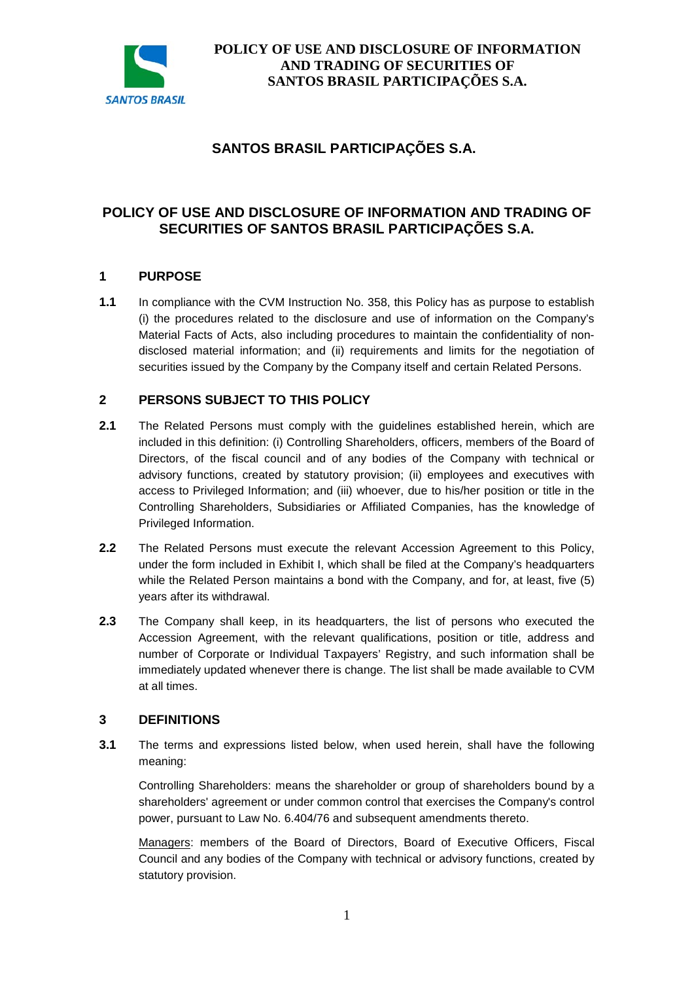

# **SANTOS BRASIL PARTICIPAÇÕES S.A.**

## **POLICY OF USE AND DISCLOSURE OF INFORMATION AND TRADING OF SECURITIES OF SANTOS BRASIL PARTICIPAÇÕES S.A.**

### **1 PURPOSE**

**1.1** In compliance with the CVM Instruction No. 358, this Policy has as purpose to establish (i) the procedures related to the disclosure and use of information on the Company's Material Facts of Acts, also including procedures to maintain the confidentiality of nondisclosed material information; and (ii) requirements and limits for the negotiation of securities issued by the Company by the Company itself and certain Related Persons.

### **2 PERSONS SUBJECT TO THIS POLICY**

- **2.1** The Related Persons must comply with the guidelines established herein, which are included in this definition: (i) Controlling Shareholders, officers, members of the Board of Directors, of the fiscal council and of any bodies of the Company with technical or advisory functions, created by statutory provision; (ii) employees and executives with access to Privileged Information; and (iii) whoever, due to his/her position or title in the Controlling Shareholders, Subsidiaries or Affiliated Companies, has the knowledge of Privileged Information.
- **2.2** The Related Persons must execute the relevant Accession Agreement to this Policy, under the form included in Exhibit I, which shall be filed at the Company's headquarters while the Related Person maintains a bond with the Company, and for, at least, five (5) years after its withdrawal.
- **2.3** The Company shall keep, in its headquarters, the list of persons who executed the Accession Agreement, with the relevant qualifications, position or title, address and number of Corporate or Individual Taxpayers' Registry, and such information shall be immediately updated whenever there is change. The list shall be made available to CVM at all times.

### **3 DEFINITIONS**

**3.1** The terms and expressions listed below, when used herein, shall have the following meaning:

Controlling Shareholders: means the shareholder or group of shareholders bound by a shareholders' agreement or under common control that exercises the Company's control power, pursuant to Law No. 6.404/76 and subsequent amendments thereto.

Managers: members of the Board of Directors, Board of Executive Officers, Fiscal Council and any bodies of the Company with technical or advisory functions, created by statutory provision.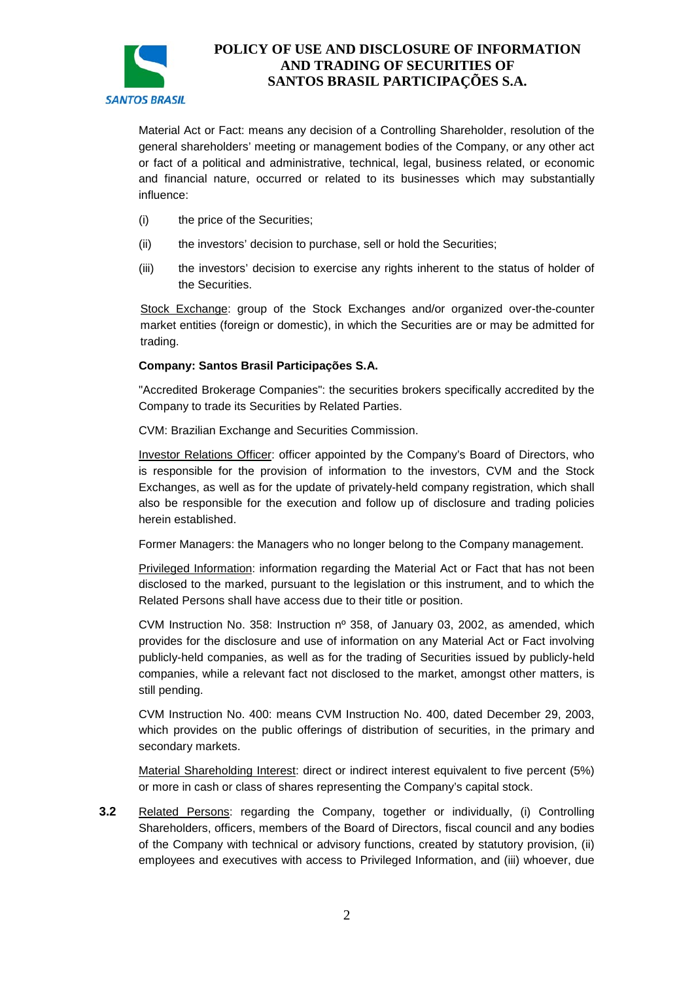

Material Act or Fact: means any decision of a Controlling Shareholder, resolution of the general shareholders' meeting or management bodies of the Company, or any other act or fact of a political and administrative, technical, legal, business related, or economic and financial nature, occurred or related to its businesses which may substantially influence:

- (i) the price of the Securities;
- (ii) the investors' decision to purchase, sell or hold the Securities;
- (iii) the investors' decision to exercise any rights inherent to the status of holder of the Securities.

Stock Exchange: group of the Stock Exchanges and/or organized over-the-counter market entities (foreign or domestic), in which the Securities are or may be admitted for trading.

#### **Company: Santos Brasil Participações S.A.**

"Accredited Brokerage Companies": the securities brokers specifically accredited by the Company to trade its Securities by Related Parties.

CVM: Brazilian Exchange and Securities Commission.

Investor Relations Officer: officer appointed by the Company's Board of Directors, who is responsible for the provision of information to the investors, CVM and the Stock Exchanges, as well as for the update of privately-held company registration, which shall also be responsible for the execution and follow up of disclosure and trading policies herein established.

Former Managers: the Managers who no longer belong to the Company management.

Privileged Information: information regarding the Material Act or Fact that has not been disclosed to the marked, pursuant to the legislation or this instrument, and to which the Related Persons shall have access due to their title or position.

CVM Instruction No. 358: Instruction nº 358, of January 03, 2002, as amended, which provides for the disclosure and use of information on any Material Act or Fact involving publicly-held companies, as well as for the trading of Securities issued by publicly-held companies, while a relevant fact not disclosed to the market, amongst other matters, is still pending.

CVM Instruction No. 400: means CVM Instruction No. 400, dated December 29, 2003, which provides on the public offerings of distribution of securities, in the primary and secondary markets.

Material Shareholding Interest: direct or indirect interest equivalent to five percent (5%) or more in cash or class of shares representing the Company's capital stock.

**3.2** Related Persons: regarding the Company, together or individually, (i) Controlling Shareholders, officers, members of the Board of Directors, fiscal council and any bodies of the Company with technical or advisory functions, created by statutory provision, (ii) employees and executives with access to Privileged Information, and (iii) whoever, due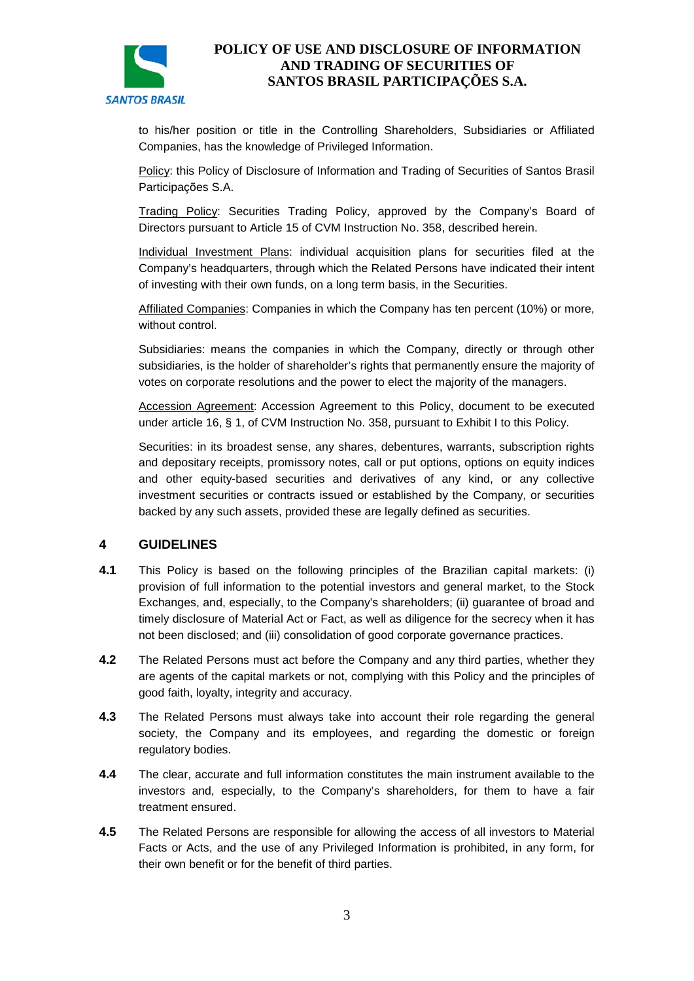

to his/her position or title in the Controlling Shareholders, Subsidiaries or Affiliated Companies, has the knowledge of Privileged Information.

Policy: this Policy of Disclosure of Information and Trading of Securities of Santos Brasil Participações S.A.

Trading Policy: Securities Trading Policy, approved by the Company's Board of Directors pursuant to Article 15 of CVM Instruction No. 358, described herein.

Individual Investment Plans: individual acquisition plans for securities filed at the Company's headquarters, through which the Related Persons have indicated their intent of investing with their own funds, on a long term basis, in the Securities.

Affiliated Companies: Companies in which the Company has ten percent (10%) or more, without control.

Subsidiaries: means the companies in which the Company, directly or through other subsidiaries, is the holder of shareholder's rights that permanently ensure the majority of votes on corporate resolutions and the power to elect the majority of the managers.

Accession Agreement: Accession Agreement to this Policy, document to be executed under article 16, § 1, of CVM Instruction No. 358, pursuant to Exhibit I to this Policy.

Securities: in its broadest sense, any shares, debentures, warrants, subscription rights and depositary receipts, promissory notes, call or put options, options on equity indices and other equity-based securities and derivatives of any kind, or any collective investment securities or contracts issued or established by the Company, or securities backed by any such assets, provided these are legally defined as securities.

### **4 GUIDELINES**

- **4.1** This Policy is based on the following principles of the Brazilian capital markets: (i) provision of full information to the potential investors and general market, to the Stock Exchanges, and, especially, to the Company's shareholders; (ii) guarantee of broad and timely disclosure of Material Act or Fact, as well as diligence for the secrecy when it has not been disclosed; and (iii) consolidation of good corporate governance practices.
- **4.2** The Related Persons must act before the Company and any third parties, whether they are agents of the capital markets or not, complying with this Policy and the principles of good faith, loyalty, integrity and accuracy.
- **4.3** The Related Persons must always take into account their role regarding the general society, the Company and its employees, and regarding the domestic or foreign regulatory bodies.
- **4.4** The clear, accurate and full information constitutes the main instrument available to the investors and, especially, to the Company's shareholders, for them to have a fair treatment ensured.
- **4.5** The Related Persons are responsible for allowing the access of all investors to Material Facts or Acts, and the use of any Privileged Information is prohibited, in any form, for their own benefit or for the benefit of third parties.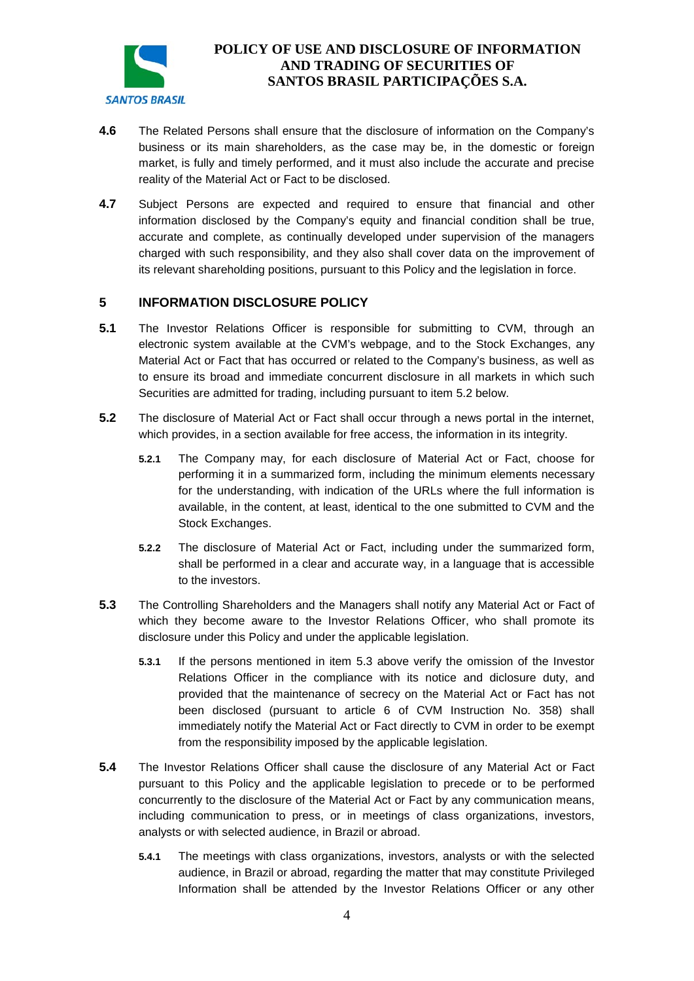

- **4.6** The Related Persons shall ensure that the disclosure of information on the Company's business or its main shareholders, as the case may be, in the domestic or foreign market, is fully and timely performed, and it must also include the accurate and precise reality of the Material Act or Fact to be disclosed.
- **4.7** Subject Persons are expected and required to ensure that financial and other information disclosed by the Company's equity and financial condition shall be true, accurate and complete, as continually developed under supervision of the managers charged with such responsibility, and they also shall cover data on the improvement of its relevant shareholding positions, pursuant to this Policy and the legislation in force.

### **5 INFORMATION DISCLOSURE POLICY**

- **5.1** The Investor Relations Officer is responsible for submitting to CVM, through an electronic system available at the CVM's webpage, and to the Stock Exchanges, any Material Act or Fact that has occurred or related to the Company's business, as well as to ensure its broad and immediate concurrent disclosure in all markets in which such Securities are admitted for trading, including pursuant to item 5.2 below.
- **5.2** The disclosure of Material Act or Fact shall occur through a news portal in the internet, which provides, in a section available for free access, the information in its integrity.
	- **5.2.1** The Company may, for each disclosure of Material Act or Fact, choose for performing it in a summarized form, including the minimum elements necessary for the understanding, with indication of the URLs where the full information is available, in the content, at least, identical to the one submitted to CVM and the Stock Exchanges.
	- **5.2.2** The disclosure of Material Act or Fact, including under the summarized form, shall be performed in a clear and accurate way, in a language that is accessible to the investors.
- **5.3** The Controlling Shareholders and the Managers shall notify any Material Act or Fact of which they become aware to the Investor Relations Officer, who shall promote its disclosure under this Policy and under the applicable legislation.
	- **5.3.1** If the persons mentioned in item 5.3 above verify the omission of the Investor Relations Officer in the compliance with its notice and diclosure duty, and provided that the maintenance of secrecy on the Material Act or Fact has not been disclosed (pursuant to article 6 of CVM Instruction No. 358) shall immediately notify the Material Act or Fact directly to CVM in order to be exempt from the responsibility imposed by the applicable legislation.
- **5.4** The Investor Relations Officer shall cause the disclosure of any Material Act or Fact pursuant to this Policy and the applicable legislation to precede or to be performed concurrently to the disclosure of the Material Act or Fact by any communication means, including communication to press, or in meetings of class organizations, investors, analysts or with selected audience, in Brazil or abroad.
	- **5.4.1** The meetings with class organizations, investors, analysts or with the selected audience, in Brazil or abroad, regarding the matter that may constitute Privileged Information shall be attended by the Investor Relations Officer or any other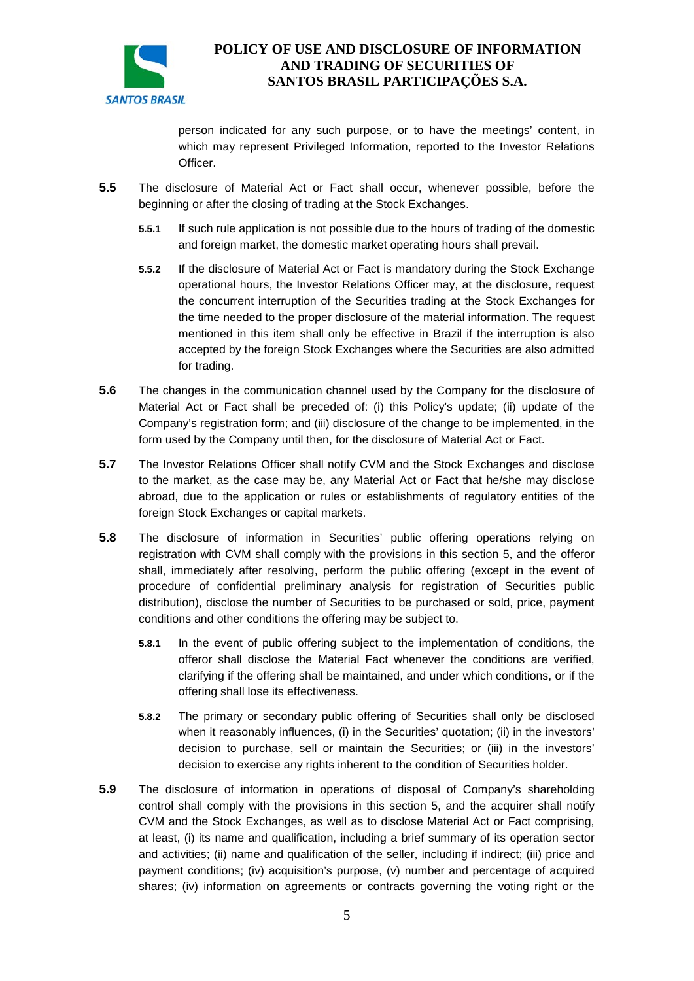

person indicated for any such purpose, or to have the meetings' content, in which may represent Privileged Information, reported to the Investor Relations Officer.

- **5.5** The disclosure of Material Act or Fact shall occur, whenever possible, before the beginning or after the closing of trading at the Stock Exchanges.
	- **5.5.1** If such rule application is not possible due to the hours of trading of the domestic and foreign market, the domestic market operating hours shall prevail.
	- **5.5.2** If the disclosure of Material Act or Fact is mandatory during the Stock Exchange operational hours, the Investor Relations Officer may, at the disclosure, request the concurrent interruption of the Securities trading at the Stock Exchanges for the time needed to the proper disclosure of the material information. The request mentioned in this item shall only be effective in Brazil if the interruption is also accepted by the foreign Stock Exchanges where the Securities are also admitted for trading.
- **5.6** The changes in the communication channel used by the Company for the disclosure of Material Act or Fact shall be preceded of: (i) this Policy's update; (ii) update of the Company's registration form; and (iii) disclosure of the change to be implemented, in the form used by the Company until then, for the disclosure of Material Act or Fact.
- **5.7** The Investor Relations Officer shall notify CVM and the Stock Exchanges and disclose to the market, as the case may be, any Material Act or Fact that he/she may disclose abroad, due to the application or rules or establishments of regulatory entities of the foreign Stock Exchanges or capital markets.
- **5.8** The disclosure of information in Securities' public offering operations relying on registration with CVM shall comply with the provisions in this section 5, and the offeror shall, immediately after resolving, perform the public offering (except in the event of procedure of confidential preliminary analysis for registration of Securities public distribution), disclose the number of Securities to be purchased or sold, price, payment conditions and other conditions the offering may be subject to.
	- **5.8.1** In the event of public offering subject to the implementation of conditions, the offeror shall disclose the Material Fact whenever the conditions are verified, clarifying if the offering shall be maintained, and under which conditions, or if the offering shall lose its effectiveness.
	- **5.8.2** The primary or secondary public offering of Securities shall only be disclosed when it reasonably influences, (i) in the Securities' quotation; (ii) in the investors' decision to purchase, sell or maintain the Securities; or (iii) in the investors' decision to exercise any rights inherent to the condition of Securities holder.
- **5.9** The disclosure of information in operations of disposal of Company's shareholding control shall comply with the provisions in this section 5, and the acquirer shall notify CVM and the Stock Exchanges, as well as to disclose Material Act or Fact comprising, at least, (i) its name and qualification, including a brief summary of its operation sector and activities; (ii) name and qualification of the seller, including if indirect; (iii) price and payment conditions; (iv) acquisition's purpose, (v) number and percentage of acquired shares; (iv) information on agreements or contracts governing the voting right or the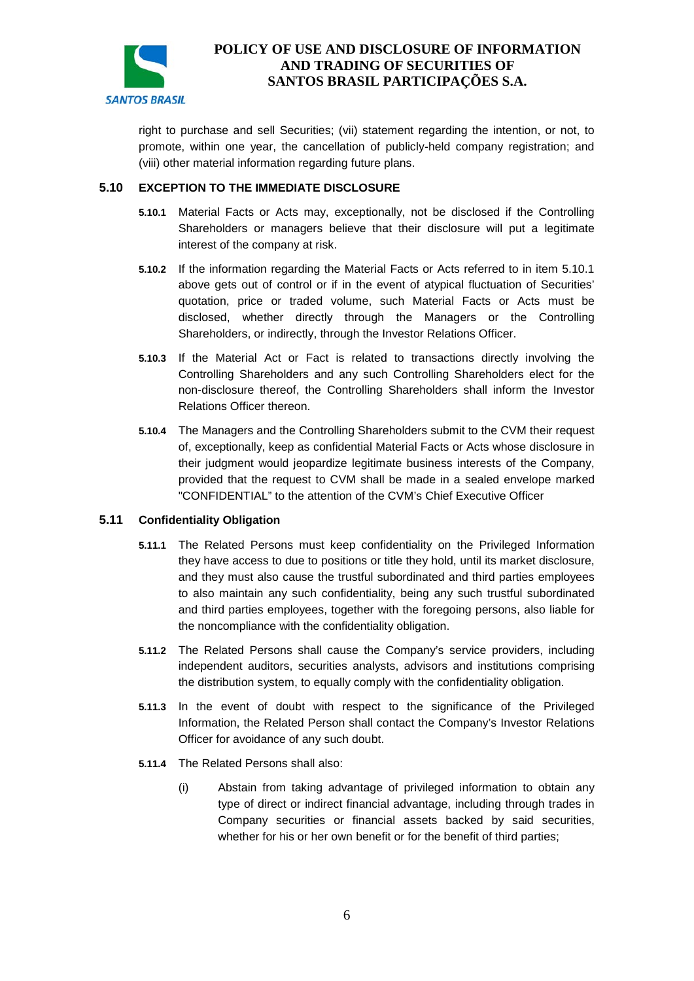

right to purchase and sell Securities; (vii) statement regarding the intention, or not, to promote, within one year, the cancellation of publicly-held company registration; and (viii) other material information regarding future plans.

#### **5.10 EXCEPTION TO THE IMMEDIATE DISCLOSURE**

- **5.10.1** Material Facts or Acts may, exceptionally, not be disclosed if the Controlling Shareholders or managers believe that their disclosure will put a legitimate interest of the company at risk.
- **5.10.2** If the information regarding the Material Facts or Acts referred to in item 5.10.1 above gets out of control or if in the event of atypical fluctuation of Securities' quotation, price or traded volume, such Material Facts or Acts must be disclosed, whether directly through the Managers or the Controlling Shareholders, or indirectly, through the Investor Relations Officer.
- **5.10.3** If the Material Act or Fact is related to transactions directly involving the Controlling Shareholders and any such Controlling Shareholders elect for the non-disclosure thereof, the Controlling Shareholders shall inform the Investor Relations Officer thereon.
- **5.10.4** The Managers and the Controlling Shareholders submit to the CVM their request of, exceptionally, keep as confidential Material Facts or Acts whose disclosure in their judgment would jeopardize legitimate business interests of the Company, provided that the request to CVM shall be made in a sealed envelope marked "CONFIDENTIAL" to the attention of the CVM's Chief Executive Officer

#### **5.11 Confidentiality Obligation**

- **5.11.1** The Related Persons must keep confidentiality on the Privileged Information they have access to due to positions or title they hold, until its market disclosure, and they must also cause the trustful subordinated and third parties employees to also maintain any such confidentiality, being any such trustful subordinated and third parties employees, together with the foregoing persons, also liable for the noncompliance with the confidentiality obligation.
- **5.11.2** The Related Persons shall cause the Company's service providers, including independent auditors, securities analysts, advisors and institutions comprising the distribution system, to equally comply with the confidentiality obligation.
- **5.11.3** In the event of doubt with respect to the significance of the Privileged Information, the Related Person shall contact the Company's Investor Relations Officer for avoidance of any such doubt.
- **5.11.4** The Related Persons shall also:
	- (i) Abstain from taking advantage of privileged information to obtain any type of direct or indirect financial advantage, including through trades in Company securities or financial assets backed by said securities, whether for his or her own benefit or for the benefit of third parties;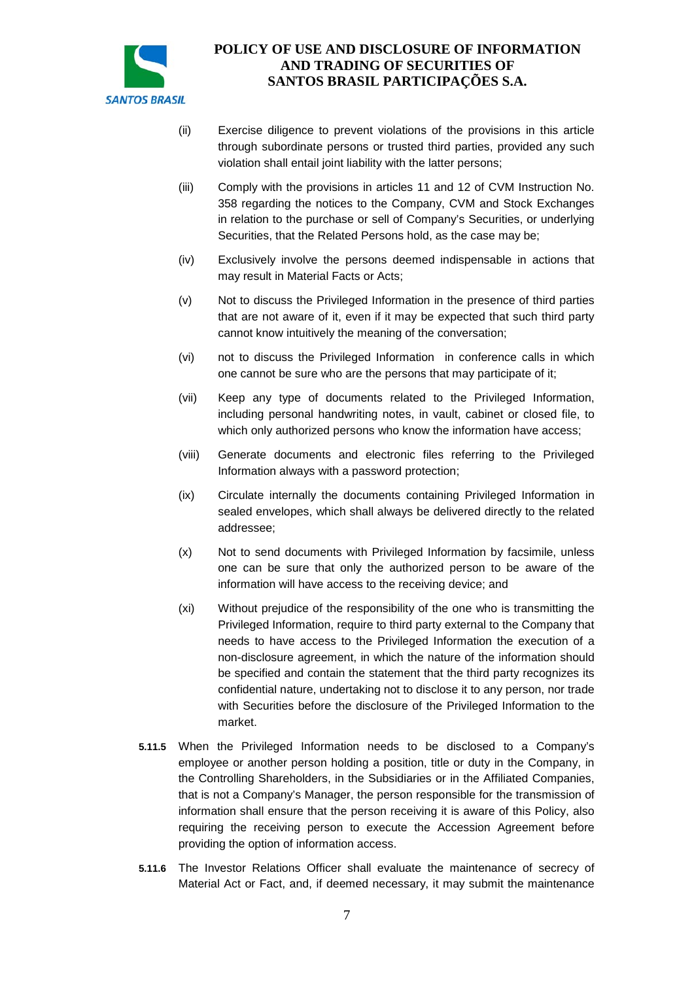

- (ii) Exercise diligence to prevent violations of the provisions in this article through subordinate persons or trusted third parties, provided any such violation shall entail joint liability with the latter persons;
- (iii) Comply with the provisions in articles 11 and 12 of CVM Instruction No. 358 regarding the notices to the Company, CVM and Stock Exchanges in relation to the purchase or sell of Company's Securities, or underlying Securities, that the Related Persons hold, as the case may be;
- (iv) Exclusively involve the persons deemed indispensable in actions that may result in Material Facts or Acts;
- (v) Not to discuss the Privileged Information in the presence of third parties that are not aware of it, even if it may be expected that such third party cannot know intuitively the meaning of the conversation;
- (vi) not to discuss the Privileged Information in conference calls in which one cannot be sure who are the persons that may participate of it;
- (vii) Keep any type of documents related to the Privileged Information, including personal handwriting notes, in vault, cabinet or closed file, to which only authorized persons who know the information have access;
- (viii) Generate documents and electronic files referring to the Privileged Information always with a password protection;
- (ix) Circulate internally the documents containing Privileged Information in sealed envelopes, which shall always be delivered directly to the related addressee;
- (x) Not to send documents with Privileged Information by facsimile, unless one can be sure that only the authorized person to be aware of the information will have access to the receiving device; and
- (xi) Without prejudice of the responsibility of the one who is transmitting the Privileged Information, require to third party external to the Company that needs to have access to the Privileged Information the execution of a non-disclosure agreement, in which the nature of the information should be specified and contain the statement that the third party recognizes its confidential nature, undertaking not to disclose it to any person, nor trade with Securities before the disclosure of the Privileged Information to the market.
- **5.11.5** When the Privileged Information needs to be disclosed to a Company's employee or another person holding a position, title or duty in the Company, in the Controlling Shareholders, in the Subsidiaries or in the Affiliated Companies, that is not a Company's Manager, the person responsible for the transmission of information shall ensure that the person receiving it is aware of this Policy, also requiring the receiving person to execute the Accession Agreement before providing the option of information access.
- **5.11.6** The Investor Relations Officer shall evaluate the maintenance of secrecy of Material Act or Fact, and, if deemed necessary, it may submit the maintenance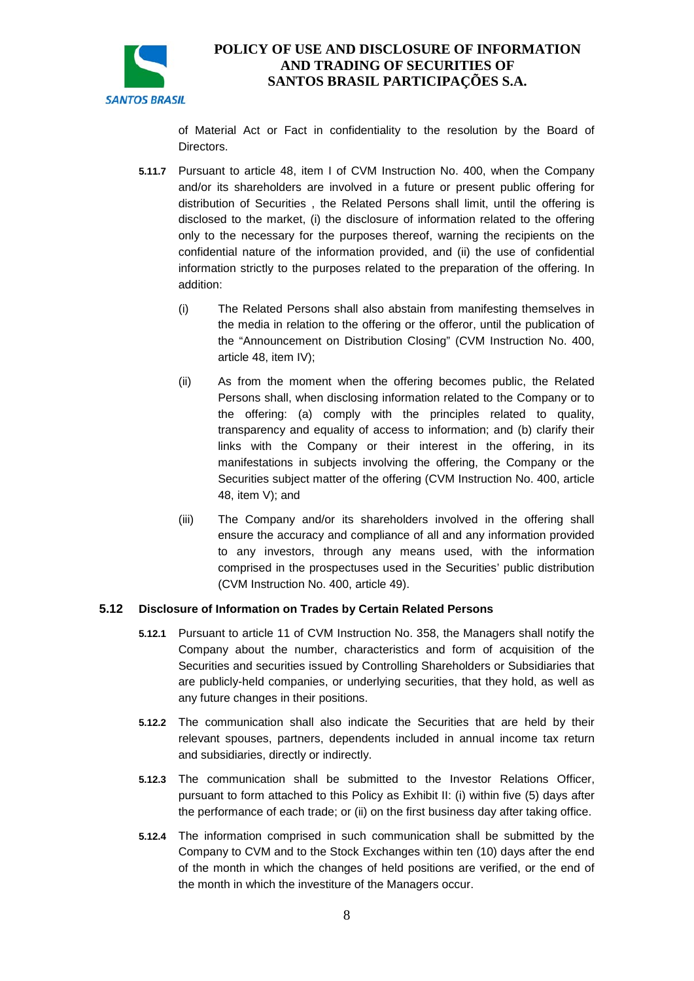

of Material Act or Fact in confidentiality to the resolution by the Board of Directors.

- **5.11.7** Pursuant to article 48, item I of CVM Instruction No. 400, when the Company and/or its shareholders are involved in a future or present public offering for distribution of Securities , the Related Persons shall limit, until the offering is disclosed to the market, (i) the disclosure of information related to the offering only to the necessary for the purposes thereof, warning the recipients on the confidential nature of the information provided, and (ii) the use of confidential information strictly to the purposes related to the preparation of the offering. In addition:
	- (i) The Related Persons shall also abstain from manifesting themselves in the media in relation to the offering or the offeror, until the publication of the "Announcement on Distribution Closing" (CVM Instruction No. 400, article 48, item IV);
	- (ii) As from the moment when the offering becomes public, the Related Persons shall, when disclosing information related to the Company or to the offering: (a) comply with the principles related to quality, transparency and equality of access to information; and (b) clarify their links with the Company or their interest in the offering, in its manifestations in subjects involving the offering, the Company or the Securities subject matter of the offering (CVM Instruction No. 400, article 48, item V); and
	- (iii) The Company and/or its shareholders involved in the offering shall ensure the accuracy and compliance of all and any information provided to any investors, through any means used, with the information comprised in the prospectuses used in the Securities' public distribution (CVM Instruction No. 400, article 49).

#### **5.12 Disclosure of Information on Trades by Certain Related Persons**

- **5.12.1** Pursuant to article 11 of CVM Instruction No. 358, the Managers shall notify the Company about the number, characteristics and form of acquisition of the Securities and securities issued by Controlling Shareholders or Subsidiaries that are publicly-held companies, or underlying securities, that they hold, as well as any future changes in their positions.
- **5.12.2** The communication shall also indicate the Securities that are held by their relevant spouses, partners, dependents included in annual income tax return and subsidiaries, directly or indirectly.
- **5.12.3** The communication shall be submitted to the Investor Relations Officer, pursuant to form attached to this Policy as Exhibit II: (i) within five (5) days after the performance of each trade; or (ii) on the first business day after taking office.
- **5.12.4** The information comprised in such communication shall be submitted by the Company to CVM and to the Stock Exchanges within ten (10) days after the end of the month in which the changes of held positions are verified, or the end of the month in which the investiture of the Managers occur.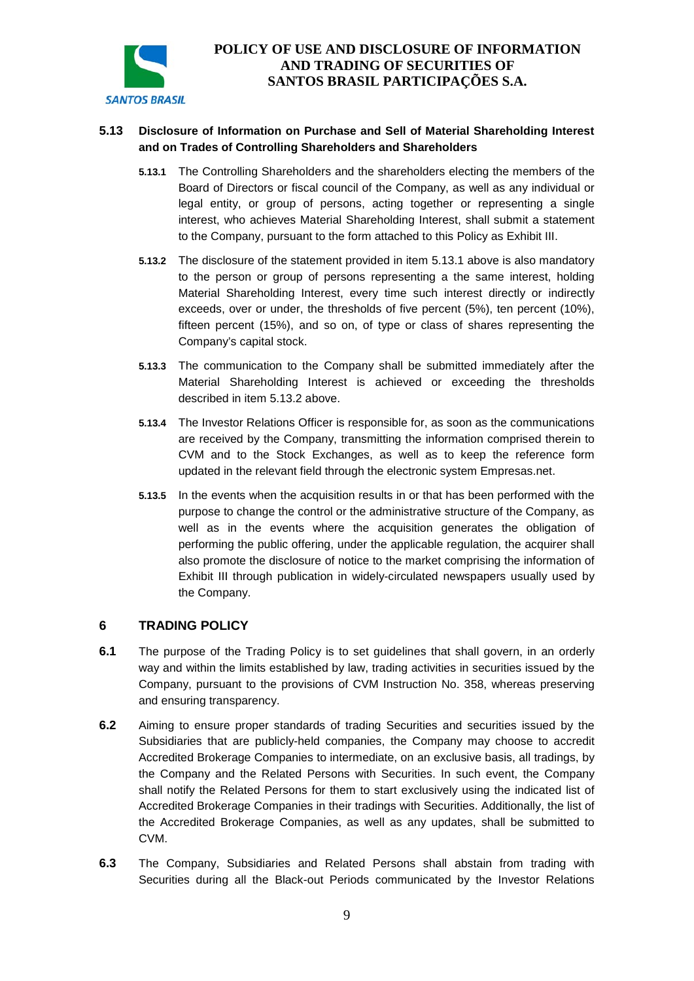

### **5.13 Disclosure of Information on Purchase and Sell of Material Shareholding Interest and on Trades of Controlling Shareholders and Shareholders**

- **5.13.1** The Controlling Shareholders and the shareholders electing the members of the Board of Directors or fiscal council of the Company, as well as any individual or legal entity, or group of persons, acting together or representing a single interest, who achieves Material Shareholding Interest, shall submit a statement to the Company, pursuant to the form attached to this Policy as Exhibit III.
- <span id="page-8-0"></span>**5.13.2** The disclosure of the statement provided in item 5.13.1 above is also mandatory to the person or group of persons representing a the same interest, holding Material Shareholding Interest, every time such interest directly or indirectly exceeds, over or under, the thresholds of five percent (5%), ten percent (10%), fifteen percent (15%), and so on, of type or class of shares representing the Company's capital stock.
- **5.13.3** The communication to the Company shall be submitted immediately after the Material Shareholding Interest is achieved or exceeding the thresholds described in item [5.13.2](#page-8-0) above.
- **5.13.4** The Investor Relations Officer is responsible for, as soon as the communications are received by the Company, transmitting the information comprised therein to CVM and to the Stock Exchanges, as well as to keep the reference form updated in the relevant field through the electronic system Empresas.net.
- **5.13.5** In the events when the acquisition results in or that has been performed with the purpose to change the control or the administrative structure of the Company, as well as in the events where the acquisition generates the obligation of performing the public offering, under the applicable regulation, the acquirer shall also promote the disclosure of notice to the market comprising the information of Exhibit III through publication in widely-circulated newspapers usually used by the Company.

### **6 TRADING POLICY**

- **6.1** The purpose of the Trading Policy is to set guidelines that shall govern, in an orderly way and within the limits established by law, trading activities in securities issued by the Company, pursuant to the provisions of CVM Instruction No. 358, whereas preserving and ensuring transparency.
- **6.2** Aiming to ensure proper standards of trading Securities and securities issued by the Subsidiaries that are publicly-held companies, the Company may choose to accredit Accredited Brokerage Companies to intermediate, on an exclusive basis, all tradings, by the Company and the Related Persons with Securities. In such event, the Company shall notify the Related Persons for them to start exclusively using the indicated list of Accredited Brokerage Companies in their tradings with Securities. Additionally, the list of the Accredited Brokerage Companies, as well as any updates, shall be submitted to CVM.
- **6.3** The Company, Subsidiaries and Related Persons shall abstain from trading with Securities during all the Black-out Periods communicated by the Investor Relations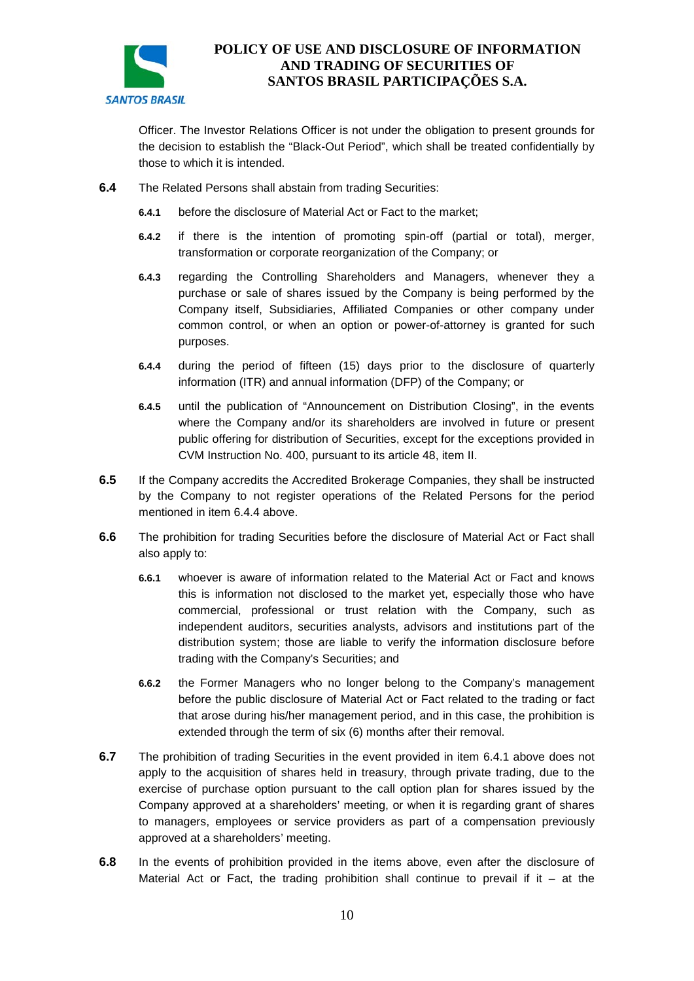

Officer. The Investor Relations Officer is not under the obligation to present grounds for the decision to establish the "Black-Out Period", which shall be treated confidentially by those to which it is intended.

- <span id="page-9-0"></span>**6.4** The Related Persons shall abstain from trading Securities:
	- **6.4.1** before the disclosure of Material Act or Fact to the market;
	- **6.4.2** if there is the intention of promoting spin-off (partial or total), merger, transformation or corporate reorganization of the Company; or
	- **6.4.3** regarding the Controlling Shareholders and Managers, whenever they a purchase or sale of shares issued by the Company is being performed by the Company itself, Subsidiaries, Affiliated Companies or other company under common control, or when an option or power-of-attorney is granted for such purposes.
	- **6.4.4** during the period of fifteen (15) days prior to the disclosure of quarterly information (ITR) and annual information (DFP) of the Company; or
	- **6.4.5** until the publication of "Announcement on Distribution Closing", in the events where the Company and/or its shareholders are involved in future or present public offering for distribution of Securities, except for the exceptions provided in CVM Instruction No. 400, pursuant to its article 48, item II.
- **6.5** If the Company accredits the Accredited Brokerage Companies, they shall be instructed by the Company to not register operations of the Related Persons for the period mentioned in item 6.4.4 above.
- **6.6** The prohibition for trading Securities before the disclosure of Material Act or Fact shall also apply to:
	- **6.6.1** whoever is aware of information related to the Material Act or Fact and knows this is information not disclosed to the market yet, especially those who have commercial, professional or trust relation with the Company, such as independent auditors, securities analysts, advisors and institutions part of the distribution system; those are liable to verify the information disclosure before trading with the Company's Securities; and
	- **6.6.2** the Former Managers who no longer belong to the Company's management before the public disclosure of Material Act or Fact related to the trading or fact that arose during his/her management period, and in this case, the prohibition is extended through the term of six (6) months after their removal.
- **6.7** The prohibition of trading Securities in the event provided in item 6.4.1 above does not apply to the acquisition of shares held in treasury, through private trading, due to the exercise of purchase option pursuant to the call option plan for shares issued by the Company approved at a shareholders' meeting, or when it is regarding grant of shares to managers, employees or service providers as part of a compensation previously approved at a shareholders' meeting.
- **6.8** In the events of prohibition provided in the items above, even after the disclosure of Material Act or Fact, the trading prohibition shall continue to prevail if it  $-$  at the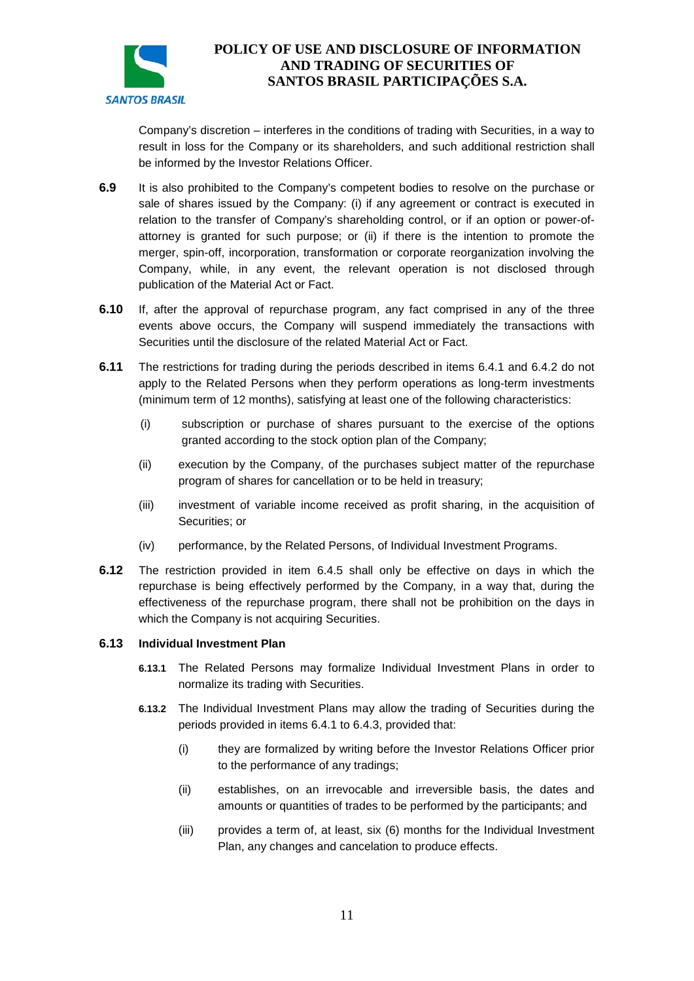

Company's discretion – interferes in the conditions of trading with Securities, in a way to result in loss for the Company or its shareholders, and such additional restriction shall be informed by the Investor Relations Officer.

- **6.9** It is also prohibited to the Company's competent bodies to resolve on the purchase or sale of shares issued by the Company: (i) if any agreement or contract is executed in relation to the transfer of Company's shareholding control, or if an option or power-ofattorney is granted for such purpose; or (ii) if there is the intention to promote the merger, spin-off, incorporation, transformation or corporate reorganization involving the Company, while, in any event, the relevant operation is not disclosed through publication of the Material Act or Fact.
- **6.10** If, after the approval of repurchase program, any fact comprised in any of the three events above occurs, the Company will suspend immediately the transactions with Securities until the disclosure of the related Material Act or Fact.
- **6.11** The restrictions for trading during the periods described in items [6.4.1](#page-9-0) and 6.4.2 do not apply to the Related Persons when they perform operations as long-term investments (minimum term of 12 months), satisfying at least one of the following characteristics:
	- (i) subscription or purchase of shares pursuant to the exercise of the options granted according to the stock option plan of the Company;
	- (ii) execution by the Company, of the purchases subject matter of the repurchase program of shares for cancellation or to be held in treasury;
	- (iii) investment of variable income received as profit sharing, in the acquisition of Securities; or
	- (iv) performance, by the Related Persons, of Individual Investment Programs.
- **6.12** The restriction provided in item 6.4.5 shall only be effective on days in which the repurchase is being effectively performed by the Company, in a way that, during the effectiveness of the repurchase program, there shall not be prohibition on the days in which the Company is not acquiring Securities.

#### **6.13 Individual Investment Plan**

- **6.13.1** The Related Persons may formalize Individual Investment Plans in order to normalize its trading with Securities.
- <span id="page-10-0"></span>**6.13.2** The Individual Investment Plans may allow the trading of Securities during the periods provided in items 6.4.1 to 6.4.3, provided that:
	- (i) they are formalized by writing before the Investor Relations Officer prior to the performance of any tradings;
	- (ii) establishes, on an irrevocable and irreversible basis, the dates and amounts or quantities of trades to be performed by the participants; and
	- (iii) provides a term of, at least, six (6) months for the Individual Investment Plan, any changes and cancelation to produce effects.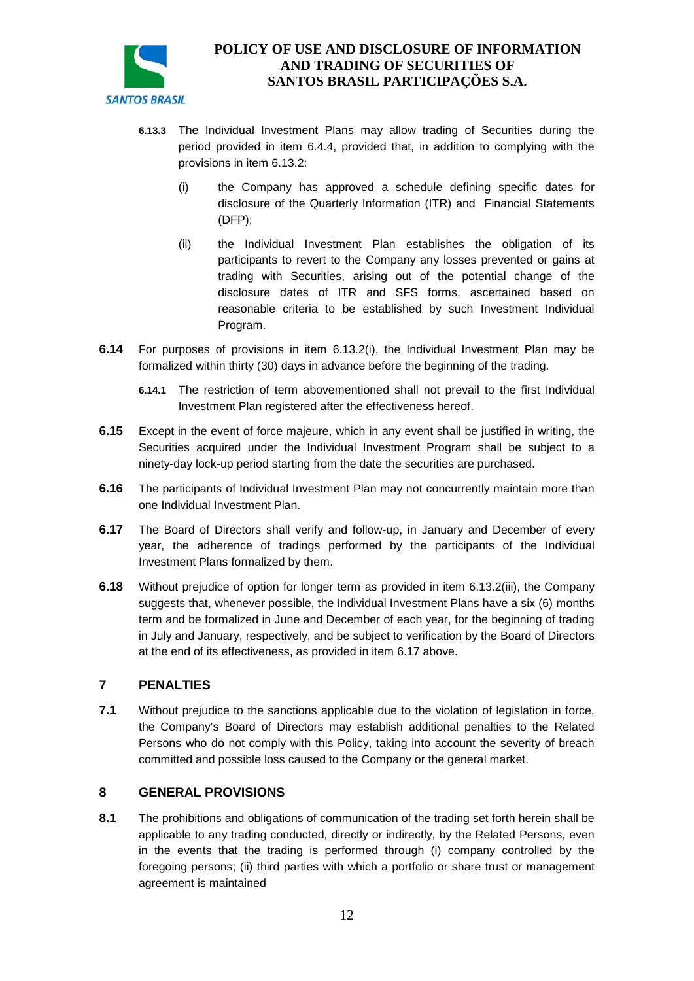

- **6.13.3** The Individual Investment Plans may allow trading of Securities during the period provided in item 6.4.4, provided that, in addition to complying with the provisions in item 6.13.2:
	- (i) the Company has approved a schedule defining specific dates for disclosure of the Quarterly Information (ITR) and Financial Statements (DFP);
	- (ii) the Individual Investment Plan establishes the obligation of its participants to revert to the Company any losses prevented or gains at trading with Securities, arising out of the potential change of the disclosure dates of ITR and SFS forms, ascertained based on reasonable criteria to be established by such Investment Individual Program.
- **6.14** For purposes of provisions in item [6.13.2\(i\),](#page-10-0) the Individual Investment Plan may be formalized within thirty (30) days in advance before the beginning of the trading.
	- **6.14.1** The restriction of term abovementioned shall not prevail to the first Individual Investment Plan registered after the effectiveness hereof.
- **6.15** Except in the event of force majeure, which in any event shall be justified in writing, the Securities acquired under the Individual Investment Program shall be subject to a ninety-day lock-up period starting from the date the securities are purchased.
- **6.16** The participants of Individual Investment Plan may not concurrently maintain more than one Individual Investment Plan.
- **6.17** The Board of Directors shall verify and follow-up, in January and December of every year, the adherence of tradings performed by the participants of the Individual Investment Plans formalized by them.
- **6.18** Without prejudice of option for longer term as provided in item 6.13.2(iii), the Company suggests that, whenever possible, the Individual Investment Plans have a six (6) months term and be formalized in June and December of each year, for the beginning of trading in July and January, respectively, and be subject to verification by the Board of Directors at the end of its effectiveness, as provided in item 6.17 above.

### **7 PENALTIES**

**7.1** Without prejudice to the sanctions applicable due to the violation of legislation in force, the Company's Board of Directors may establish additional penalties to the Related Persons who do not comply with this Policy, taking into account the severity of breach committed and possible loss caused to the Company or the general market.

### **8 GENERAL PROVISIONS**

**8.1** The prohibitions and obligations of communication of the trading set forth herein shall be applicable to any trading conducted, directly or indirectly, by the Related Persons, even in the events that the trading is performed through (i) company controlled by the foregoing persons; (ii) third parties with which a portfolio or share trust or management agreement is maintained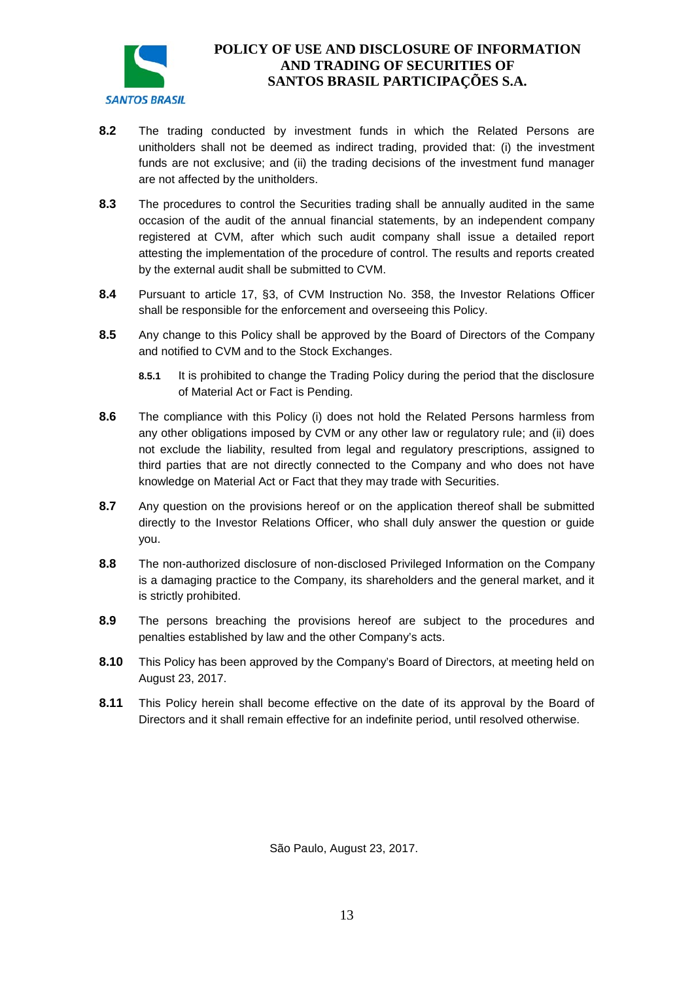

- **8.2** The trading conducted by investment funds in which the Related Persons are unitholders shall not be deemed as indirect trading, provided that: (i) the investment funds are not exclusive; and (ii) the trading decisions of the investment fund manager are not affected by the unitholders.
- **8.3** The procedures to control the Securities trading shall be annually audited in the same occasion of the audit of the annual financial statements, by an independent company registered at CVM, after which such audit company shall issue a detailed report attesting the implementation of the procedure of control. The results and reports created by the external audit shall be submitted to CVM.
- **8.4** Pursuant to article 17, §3, of CVM Instruction No. 358, the Investor Relations Officer shall be responsible for the enforcement and overseeing this Policy.
- **8.5** Any change to this Policy shall be approved by the Board of Directors of the Company and notified to CVM and to the Stock Exchanges.
	- **8.5.1** It is prohibited to change the Trading Policy during the period that the disclosure of Material Act or Fact is Pending.
- **8.6** The compliance with this Policy (i) does not hold the Related Persons harmless from any other obligations imposed by CVM or any other law or regulatory rule; and (ii) does not exclude the liability, resulted from legal and regulatory prescriptions, assigned to third parties that are not directly connected to the Company and who does not have knowledge on Material Act or Fact that they may trade with Securities.
- **8.7** Any question on the provisions hereof or on the application thereof shall be submitted directly to the Investor Relations Officer, who shall duly answer the question or guide you.
- **8.8** The non-authorized disclosure of non-disclosed Privileged Information on the Company is a damaging practice to the Company, its shareholders and the general market, and it is strictly prohibited.
- **8.9** The persons breaching the provisions hereof are subject to the procedures and penalties established by law and the other Company's acts.
- **8.10** This Policy has been approved by the Company's Board of Directors, at meeting held on August 23, 2017.
- **8.11** This Policy herein shall become effective on the date of its approval by the Board of Directors and it shall remain effective for an indefinite period, until resolved otherwise.

São Paulo, August 23, 2017.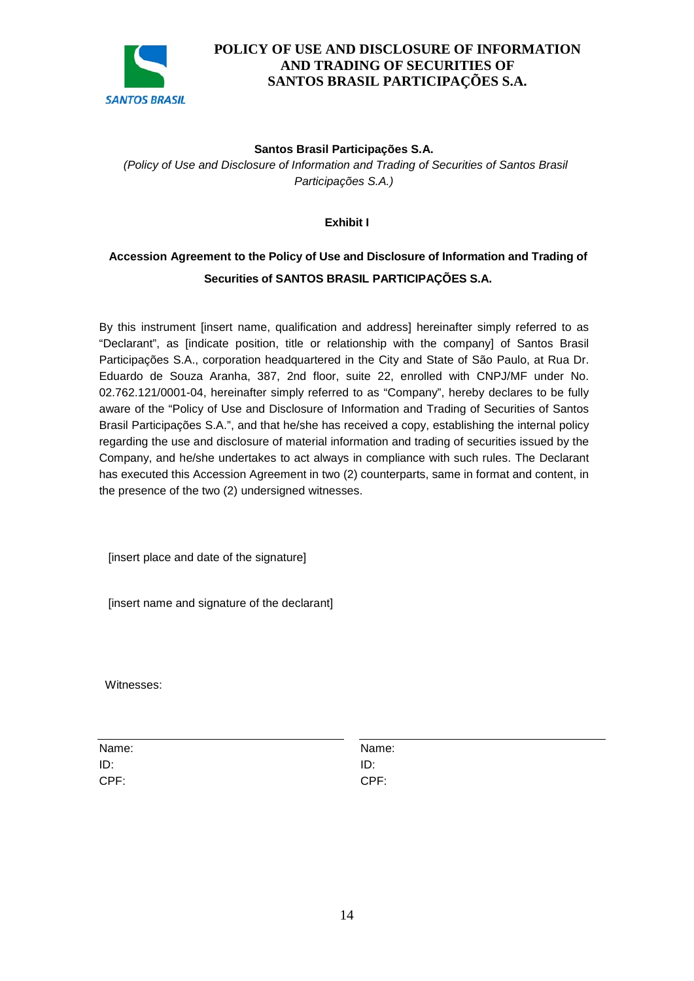

#### **Santos Brasil Participações S.A.**

*(Policy of Use and Disclosure of Information and Trading of Securities of Santos Brasil Participações S.A.)*

#### **Exhibit I**

# **Accession Agreement to the Policy of Use and Disclosure of Information and Trading of Securities of SANTOS BRASIL PARTICIPAÇÕES S.A.**

By this instrument linsert name, qualification and address] hereinafter simply referred to as "Declarant", as [indicate position, title or relationship with the company] of Santos Brasil Participações S.A., corporation headquartered in the City and State of São Paulo, at Rua Dr. Eduardo de Souza Aranha, 387, 2nd floor, suite 22, enrolled with CNPJ/MF under No. 02.762.121/0001-04, hereinafter simply referred to as "Company", hereby declares to be fully aware of the "Policy of Use and Disclosure of Information and Trading of Securities of Santos Brasil Participações S.A.", and that he/she has received a copy, establishing the internal policy regarding the use and disclosure of material information and trading of securities issued by the Company, and he/she undertakes to act always in compliance with such rules. The Declarant has executed this Accession Agreement in two (2) counterparts, same in format and content, in the presence of the two (2) undersigned witnesses.

[insert place and date of the signature]

[insert name and signature of the declarant]

Witnesses:

Name: Name: ID: ID: CPF: CPF: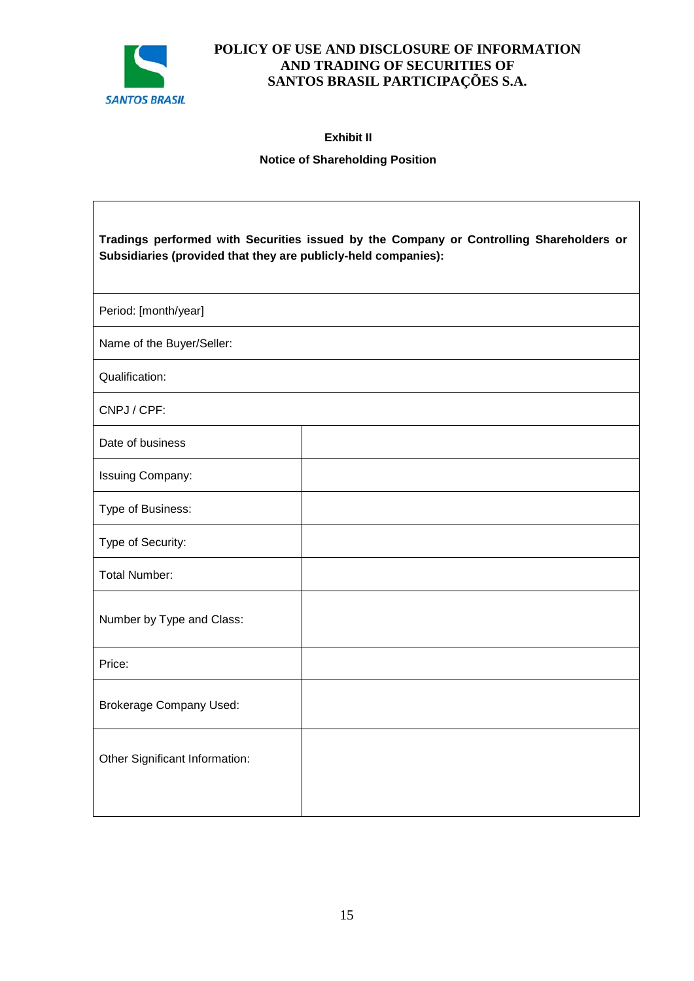

**Exhibit II** 

### **Notice of Shareholding Position**

| Tradings performed with Securities issued by the Company or Controlling Shareholders or<br>Subsidiaries (provided that they are publicly-held companies): |  |  |
|-----------------------------------------------------------------------------------------------------------------------------------------------------------|--|--|
| Period: [month/year]                                                                                                                                      |  |  |
| Name of the Buyer/Seller:                                                                                                                                 |  |  |
| Qualification:                                                                                                                                            |  |  |
| CNPJ / CPF:                                                                                                                                               |  |  |
| Date of business                                                                                                                                          |  |  |
| Issuing Company:                                                                                                                                          |  |  |
| Type of Business:                                                                                                                                         |  |  |
| Type of Security:                                                                                                                                         |  |  |
| <b>Total Number:</b>                                                                                                                                      |  |  |
| Number by Type and Class:                                                                                                                                 |  |  |
| Price:                                                                                                                                                    |  |  |
| <b>Brokerage Company Used:</b>                                                                                                                            |  |  |
| Other Significant Information:                                                                                                                            |  |  |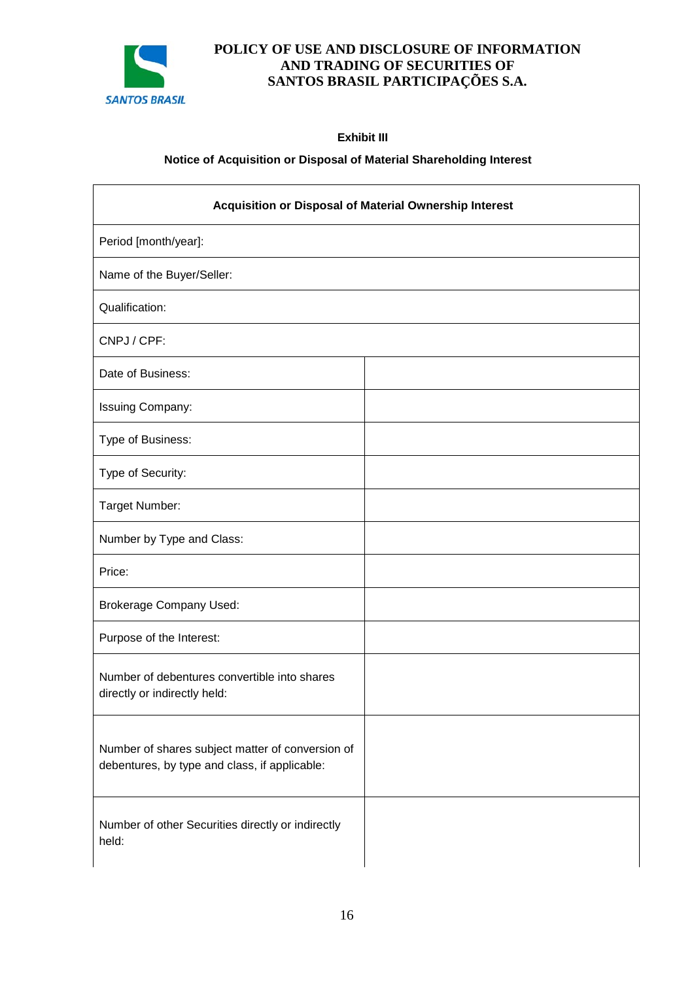

**Exhibit III** 

### **Notice of Acquisition or Disposal of Material Shareholding Interest**

| Acquisition or Disposal of Material Ownership Interest                                            |  |  |
|---------------------------------------------------------------------------------------------------|--|--|
| Period [month/year]:                                                                              |  |  |
| Name of the Buyer/Seller:                                                                         |  |  |
| Qualification:                                                                                    |  |  |
| CNPJ / CPF:                                                                                       |  |  |
| Date of Business:                                                                                 |  |  |
| Issuing Company:                                                                                  |  |  |
| Type of Business:                                                                                 |  |  |
| Type of Security:                                                                                 |  |  |
| Target Number:                                                                                    |  |  |
| Number by Type and Class:                                                                         |  |  |
| Price:                                                                                            |  |  |
| <b>Brokerage Company Used:</b>                                                                    |  |  |
| Purpose of the Interest:                                                                          |  |  |
| Number of debentures convertible into shares<br>directly or indirectly held:                      |  |  |
| Number of shares subject matter of conversion of<br>debentures, by type and class, if applicable: |  |  |
| Number of other Securities directly or indirectly<br>held:                                        |  |  |